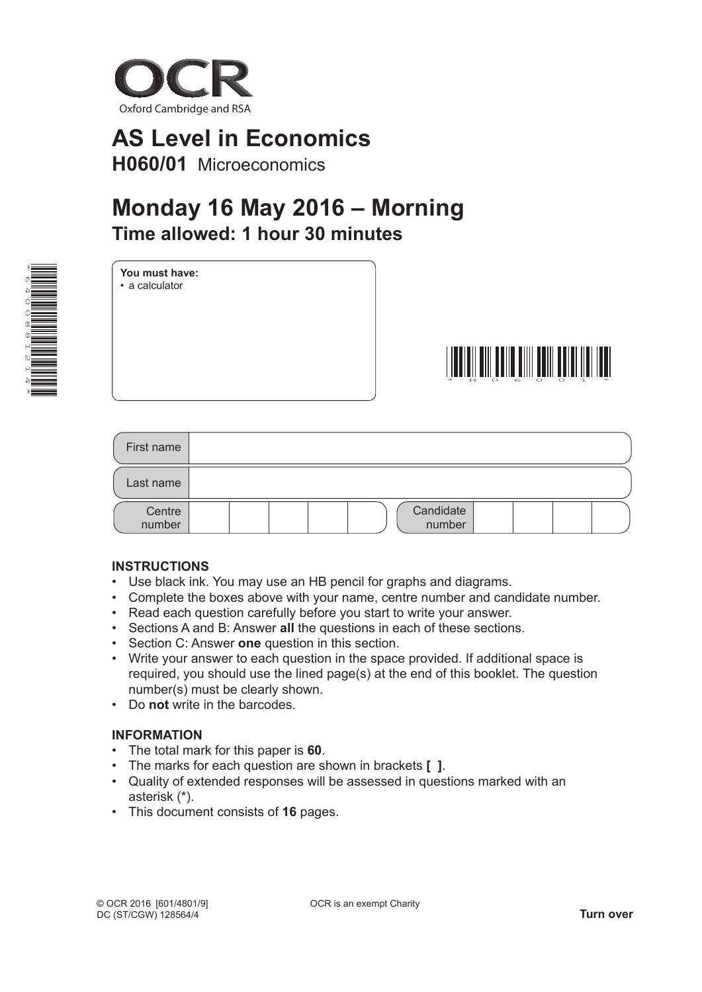

# **AS Level in Economics H060/01** Microeconomics

# **Monday 16 May 2016 – Morning time allowed: 1 hour 30 minutes**

| ⊁         |                          |
|-----------|--------------------------|
| Ő         | $\overline{\phantom{a}}$ |
|           | <b>The Company</b>       |
|           |                          |
| O         | ══                       |
| $\alpha$  | $\equiv$                 |
| $^\infty$ | ≡                        |
| Ц         | į                        |
|           |                          |
|           | $\sim$                   |
|           |                          |
| ×         |                          |

**You must have:** • a calculator



| First name       |                     |
|------------------|---------------------|
| Last name        |                     |
| Centre<br>number | Candidate<br>number |

### **inStRUctionS**

- Use black ink. You may use an HB pencil for graphs and diagrams.
- Complete the boxes above with your name, centre number and candidate number.
- Read each question carefully before you start to write your answer.
- Sections A and B: Answer **all** the questions in each of these sections.
- Section C: Answer **one** question in this section.
- Write your answer to each question in the space provided. If additional space is required, you should use the lined page(s) at the end of this booklet. The question number(s) must be clearly shown.
- Do **not** write in the barcodes.

### **inFoRMAtion**

- The total mark for this paper is **60**.
- The marks for each question are shown in brackets **[ ]**.
- Quality of extended responses will be assessed in questions marked with an asterisk (\*).
- This document consists of **16** pages.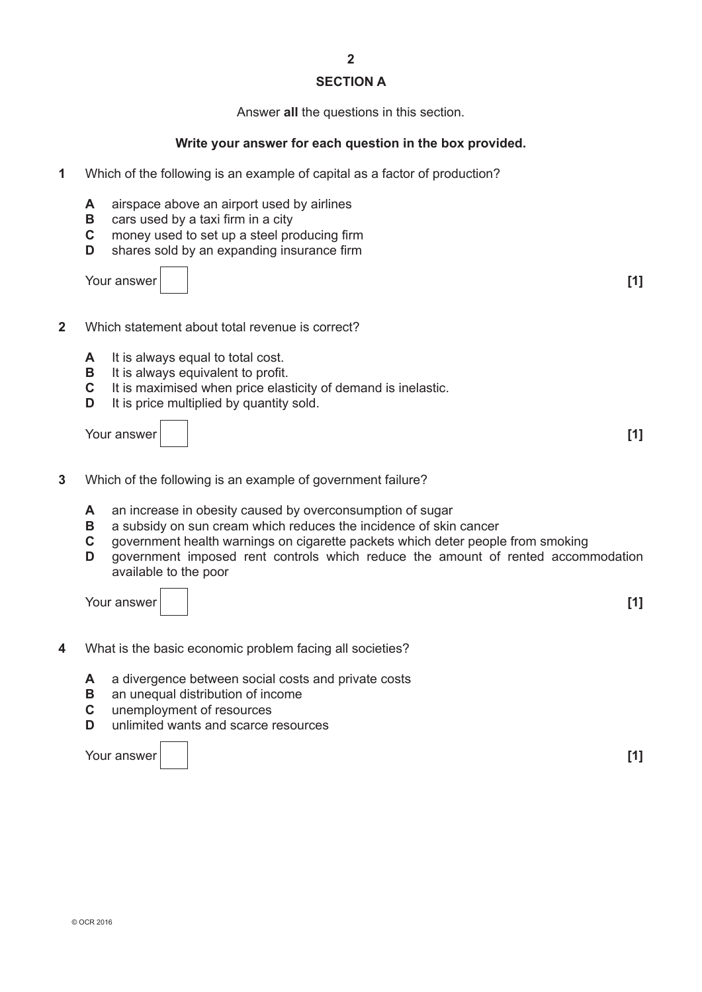#### **Section A**

Answer **all** the questions in this section.

#### **Write your answer for each question in the box provided.**

- **1** Which of the following is an example of capital as a factor of production?
	- **A** airspace above an airport used by airlines
	- **B** cars used by a taxi firm in a city
	- **C** money used to set up a steel producing firm<br>**D** shares sold by an expanding insurance firm
	- shares sold by an expanding insurance firm

Your answer **[1]**

- **2** Which statement about total revenue is correct?
	- **A** It is always equal to total cost.
	- **B** It is always equivalent to profit.<br>**C** It is maximised when price elas
	- It is maximised when price elasticity of demand is inelastic.
	- **D** It is price multiplied by quantity sold.

Your answer **[1]**

- **3** Which of the following is an example of government failure?
	- **A** an increase in obesity caused by overconsumption of sugar
	- **B** a subsidy on sun cream which reduces the incidence of skin cancer
	- **c** government health warnings on cigarette packets which deter people from smoking
	- **D** government imposed rent controls which reduce the amount of rented accommodation available to the poor

Your answer **[1]**

- **4** What is the basic economic problem facing all societies?
	- **A** a divergence between social costs and private costs
	- **B** an unequal distribution of income<br>**C** unemployment of resources
	- **c** unemployment of resources
	- **D** unlimited wants and scarce resources

Your answer **[1]**

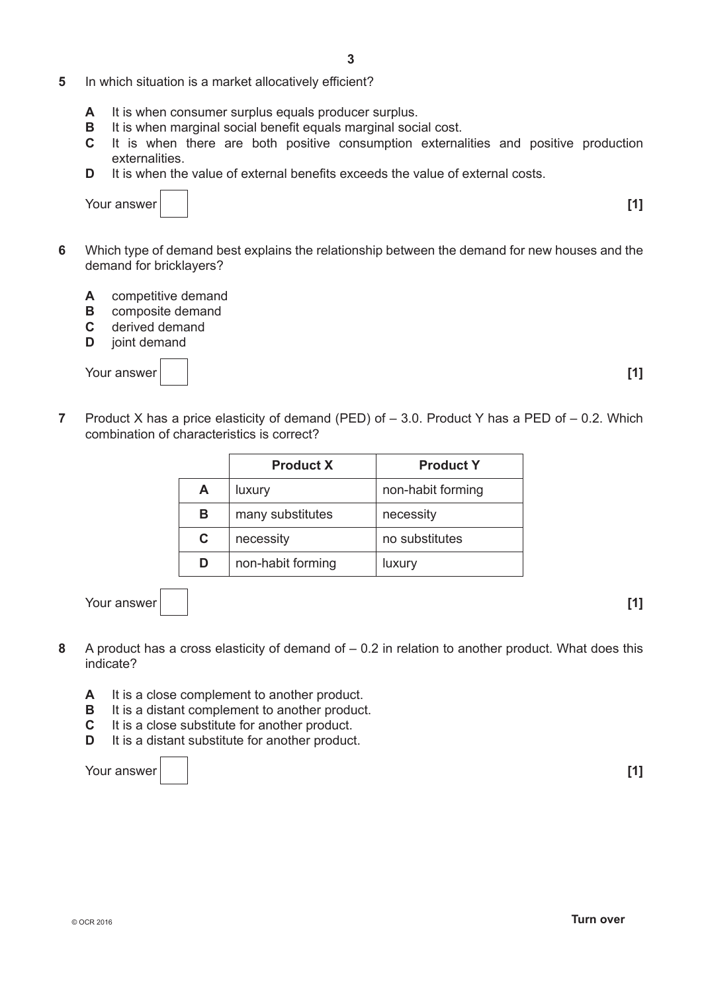- **5** In which situation is a market allocatively efficient?
	- **A** It is when consumer surplus equals producer surplus.
	- **B** It is when marginal social benefit equals marginal social cost.
	- **c** It is when there are both positive consumption externalities and positive production externalities.
	- **D** It is when the value of external benefits exceeds the value of external costs.

| [1] |
|-----|
|     |

- **6** Which type of demand best explains the relationship between the demand for new houses and the demand for bricklayers?
	- **A** competitive demand
	- **B** composite demand
	- **C** derived demand<br>**D** joint demand
	- **joint demand**

Your answer

| ۰, | ٦ |  |
|----|---|--|
|    |   |  |

**7** Product X has a price elasticity of demand (PED) of – 3.0. Product Y has a PED of – 0.2. Which combination of characteristics is correct?

|   | <b>Product X</b>  | <b>Product Y</b>  |
|---|-------------------|-------------------|
| A | luxury            | non-habit forming |
| в | many substitutes  | necessity         |
| C | necessity         | no substitutes    |
| D | non-habit forming | luxury            |

Your answer **[1]**

- 
- **8** A product has a cross elasticity of demand of 0.2 in relation to another product. What does this indicate?
	- **A** It is a close complement to another product.
	- **B** It is a distant complement to another product.
	- **C** It is a close substitute for another product.<br>**D** It is a distant substitute for another product
	- It is a distant substitute for another product.

Your answer **[1]**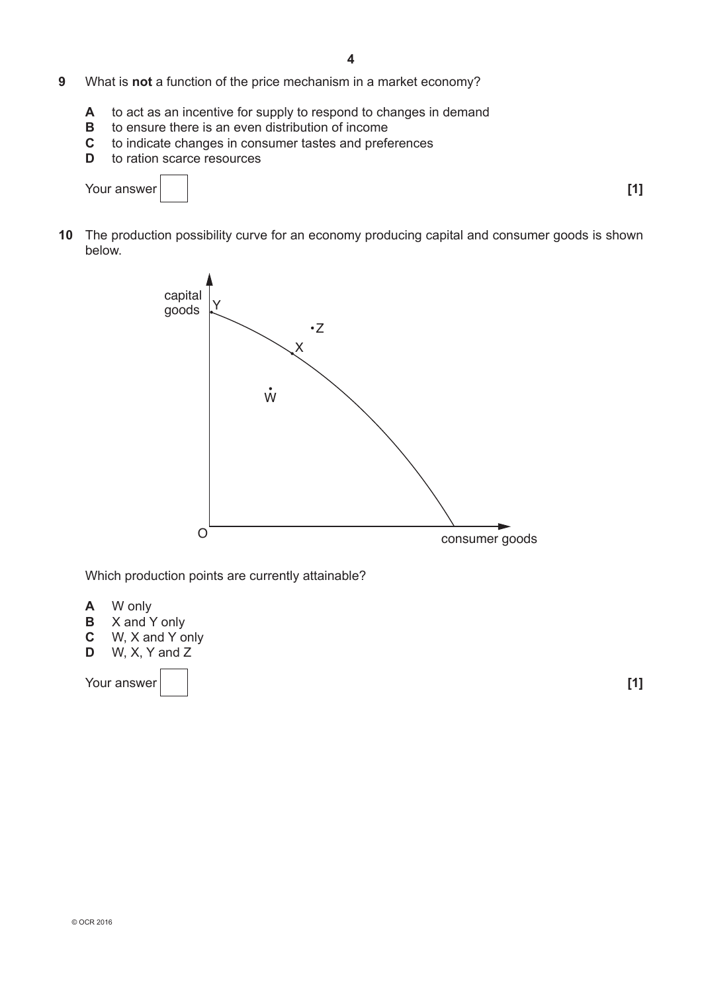- **9** What is **not** a function of the price mechanism in a market economy?
	- **A** to act as an incentive for supply to respond to changes in demand<br>**B** to ensure there is an even distribution of income
	- to ensure there is an even distribution of income
	- **C** to indicate changes in consumer tastes and preferences<br>**D** to ration scarce resources
	- to ration scarce resources

```
Your answer [1] [1]
```
**10** The production possibility curve for an economy producing capital and consumer goods is shown below.



Which production points are currently attainable?

- **A** W only
- **B**  $\times$  and Y only<br>**C**  $\times$  W, X and Y of
- **c** W, X and Y only<br>**D** W, X, Y and Z
- **D** W, X, Y and Z

Your answer **[1] [1] [1]**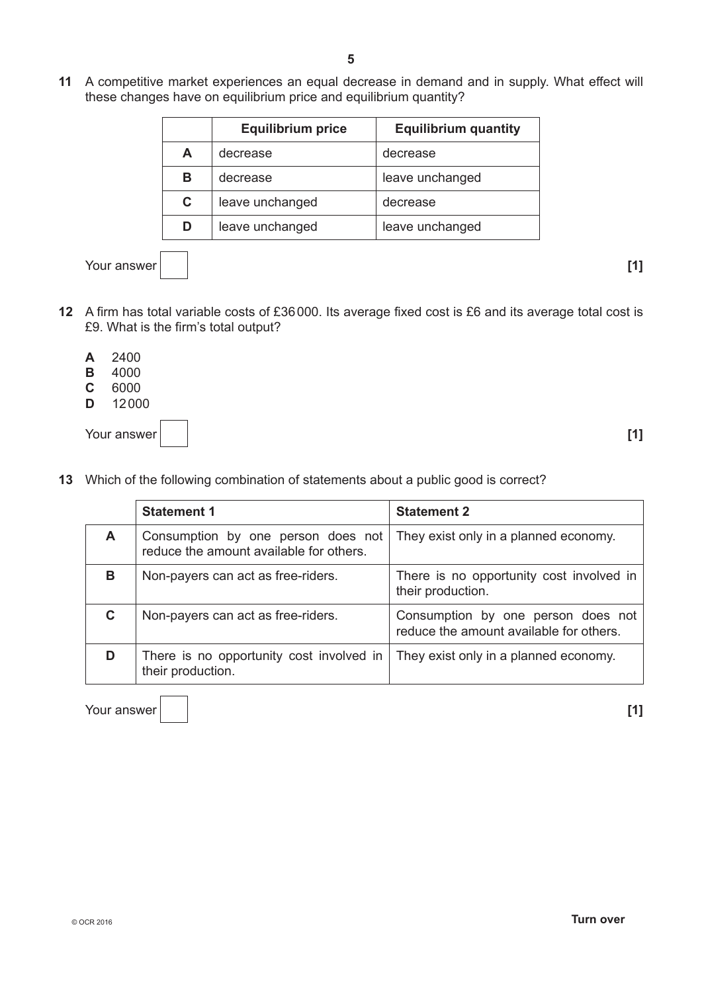**11** A competitive market experiences an equal decrease in demand and in supply. What effect will these changes have on equilibrium price and equilibrium quantity?

|   | <b>Equilibrium price</b> | <b>Equilibrium quantity</b> |
|---|--------------------------|-----------------------------|
| A | decrease                 | decrease                    |
| в | decrease                 | leave unchanged             |
| C | leave unchanged          | decrease                    |
| D | leave unchanged          | leave unchanged             |

Your answer **[1] [1] [1]** 

- 
- **12** A firm has total variable costs of £36000. Its average fixed cost is £6 and its average total cost is £9. What is the firm's total output?
	- **A** 2400
	- **B** 4000<br>**C** 6000
	- **c** 6000
	- **D** 12000

| Your answer | $\left[1\right]$ |
|-------------|------------------|
|-------------|------------------|

**13** Which of the following combination of statements about a public good is correct?

|    | <b>Statement 1</b>                                                            | <b>Statement 2</b>                                                            |
|----|-------------------------------------------------------------------------------|-------------------------------------------------------------------------------|
| A  | Consumption by one person does not<br>reduce the amount available for others. | They exist only in a planned economy.                                         |
| B  | Non-payers can act as free-riders.                                            | There is no opportunity cost involved in<br>their production.                 |
| C. | Non-payers can act as free-riders.                                            | Consumption by one person does not<br>reduce the amount available for others. |
|    | There is no opportunity cost involved in<br>their production.                 | They exist only in a planned economy.                                         |

Your answer **[1] [1]**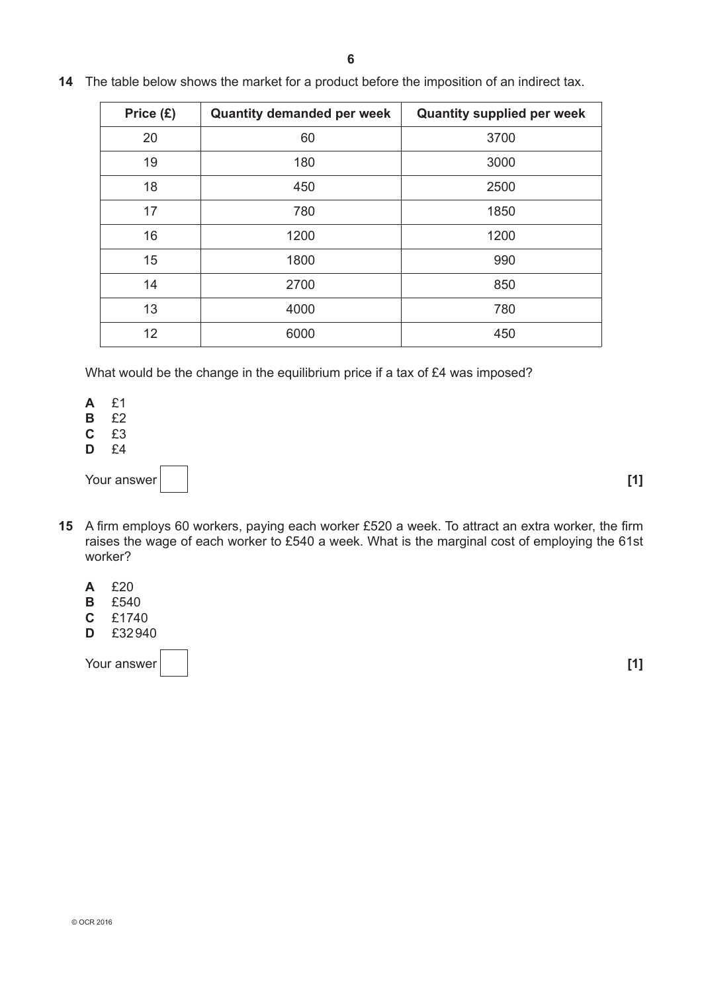| Price $(E)$ | <b>Quantity demanded per week</b> | <b>Quantity supplied per week</b> |
|-------------|-----------------------------------|-----------------------------------|
| 20          | 60                                | 3700                              |
| 19          | 180                               | 3000                              |
| 18          | 450                               | 2500                              |
| 17          | 780                               | 1850                              |
| 16          | 1200                              | 1200                              |
| 15          | 1800                              | 990                               |
| 14          | 2700                              | 850                               |
| 13          | 4000                              | 780                               |
| 12          | 6000                              | 450                               |

**14** The table below shows the market for a product before the imposition of an indirect tax.

What would be the change in the equilibrium price if a tax of £4 was imposed?

**A** £1

- **B** £2<br>**C** £3
- **c** £3
- **D** £4

Your answer **[1]**

- **15** A firm employs 60 workers, paying each worker £520 a week. To attract an extra worker, the firm raises the wage of each worker to £540 a week. What is the marginal cost of employing the 61st worker?
	- **A** £20
	- **B** £540<br>**C** £1740
	- **c** £1740
	- **D** £32940

Your answer **[1] [1]**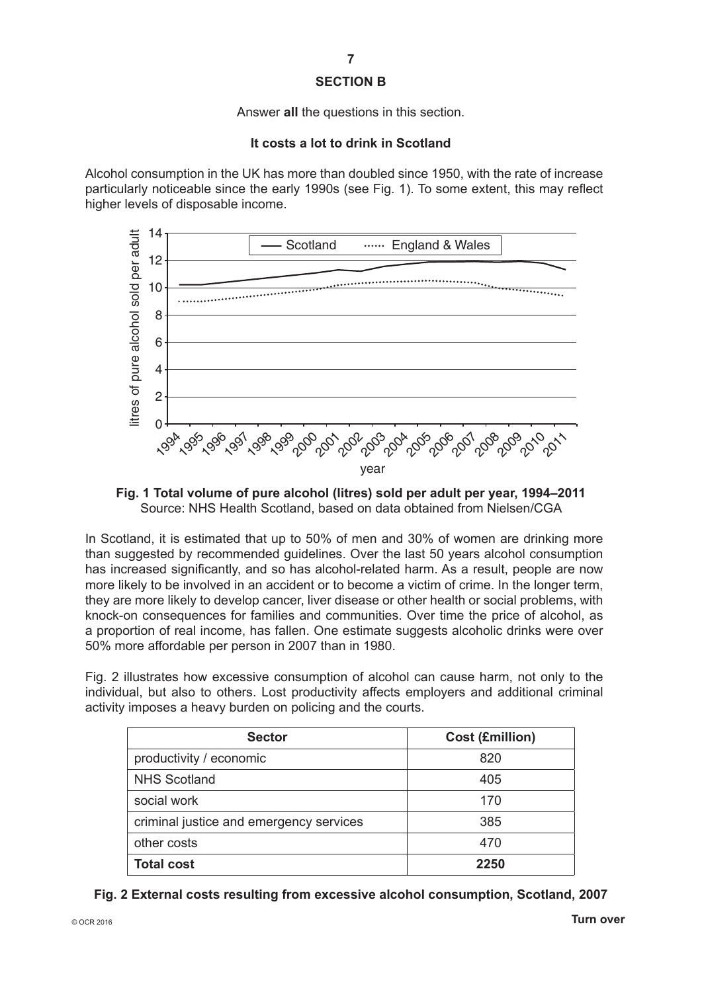#### **Section B**

Answer **all** the questions in this section.

#### **it costs a lot to drink in Scotland**

Alcohol consumption in the UK has more than doubled since 1950, with the rate of increase particularly noticeable since the early 1990s (see Fig. 1). To some extent, this may reflect higher levels of disposable income.



**Fig. 1 total volume of pure alcohol (litres) sold per adult per year, 1994–2011** Source: NHS Health Scotland, based on data obtained from Nielsen/CGA

In Scotland, it is estimated that up to 50% of men and 30% of women are drinking more than suggested by recommended guidelines. Over the last 50 years alcohol consumption has increased significantly, and so has alcohol-related harm. As a result, people are now more likely to be involved in an accident or to become a victim of crime. In the longer term, they are more likely to develop cancer, liver disease or other health or social problems, with knock-on consequences for families and communities. Over time the price of alcohol, as a proportion of real income, has fallen. One estimate suggests alcoholic drinks were over 50% more affordable per person in 2007 than in 1980.

Fig. 2 illustrates how excessive consumption of alcohol can cause harm, not only to the individual, but also to others. Lost productivity affects employers and additional criminal activity imposes a heavy burden on policing and the courts.

| <b>Sector</b>                           | <b>Cost (£million)</b> |
|-----------------------------------------|------------------------|
| productivity / economic                 | 820                    |
| <b>NHS Scotland</b>                     | 405                    |
| social work                             | 170                    |
| criminal justice and emergency services | 385                    |
| other costs                             | 470                    |
| <b>Total cost</b>                       | 2250                   |

**Fig. 2 external costs resulting from excessive alcohol consumption, Scotland, 2007**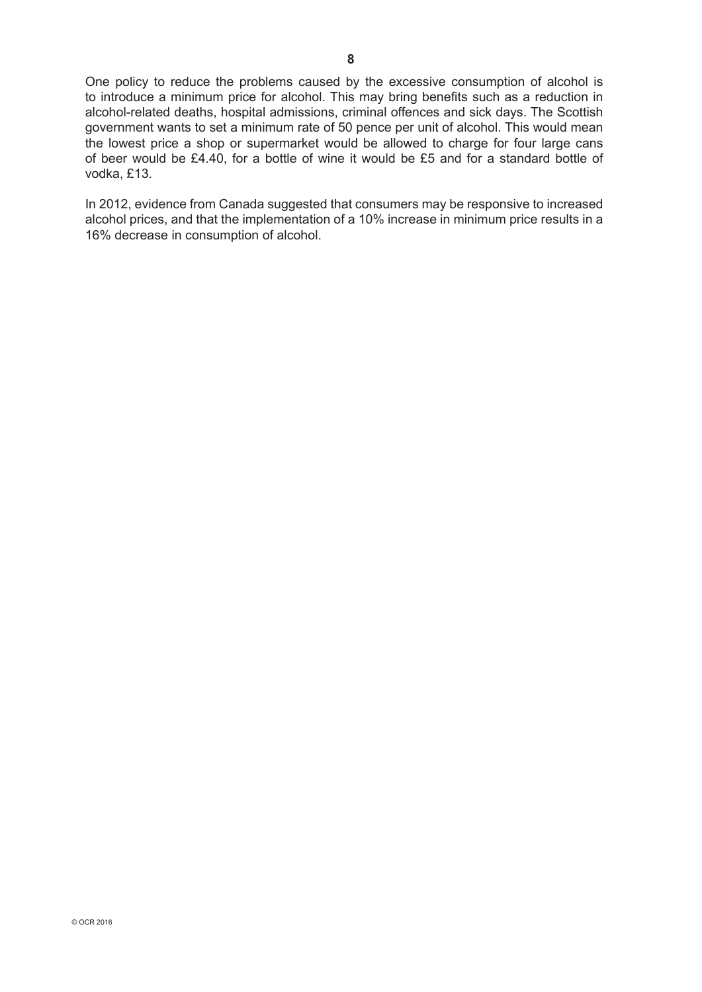One policy to reduce the problems caused by the excessive consumption of alcohol is to introduce a minimum price for alcohol. This may bring benefits such as a reduction in alcohol-related deaths, hospital admissions, criminal offences and sick days. The Scottish government wants to set a minimum rate of 50 pence per unit of alcohol. This would mean the lowest price a shop or supermarket would be allowed to charge for four large cans of beer would be £4.40, for a bottle of wine it would be £5 and for a standard bottle of vodka, £13.

In 2012, evidence from Canada suggested that consumers may be responsive to increased alcohol prices, and that the implementation of a 10% increase in minimum price results in a 16% decrease in consumption of alcohol.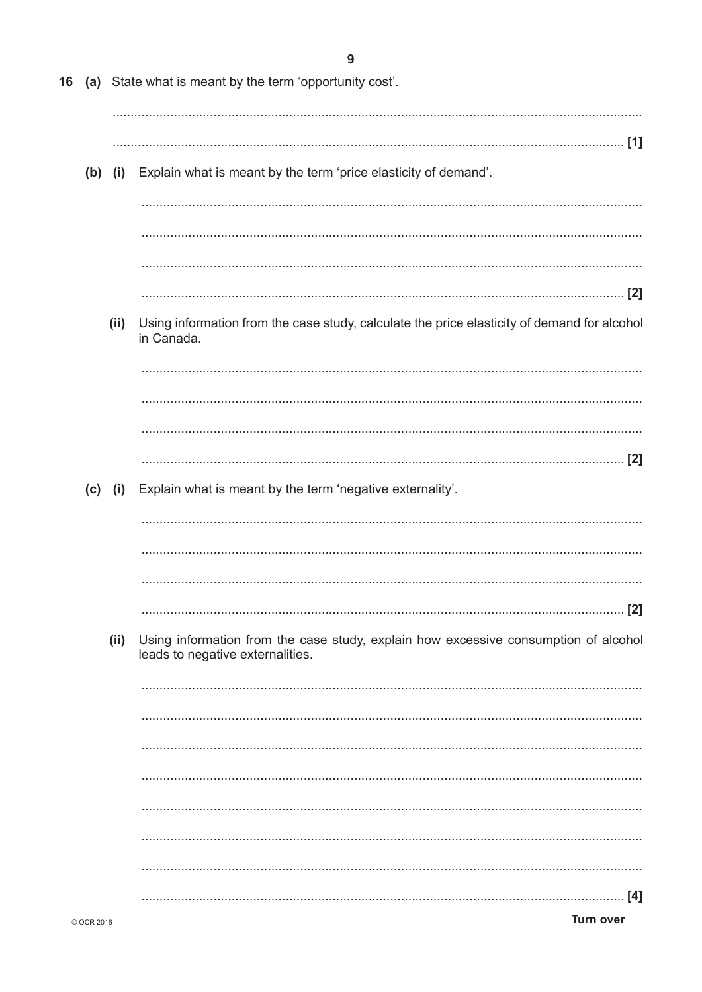| 16 |            |           | (a) State what is meant by the term 'opportunity cost'.                                                                 |
|----|------------|-----------|-------------------------------------------------------------------------------------------------------------------------|
|    |            | $(b)$ (i) | Explain what is meant by the term 'price elasticity of demand'.                                                         |
|    |            |           |                                                                                                                         |
|    |            | (ii)      | Using information from the case study, calculate the price elasticity of demand for alcohol<br>in Canada.               |
|    |            |           |                                                                                                                         |
|    |            | $(c)$ (i) | Explain what is meant by the term 'negative externality'.                                                               |
|    |            |           | [2]                                                                                                                     |
|    |            | (ii)      | Using information from the case study, explain how excessive consumption of alcohol<br>leads to negative externalities. |
|    |            |           |                                                                                                                         |
|    |            |           |                                                                                                                         |
|    | © OCR 2016 |           | [4]<br><b>Turn over</b>                                                                                                 |

 $\mathbf{9}$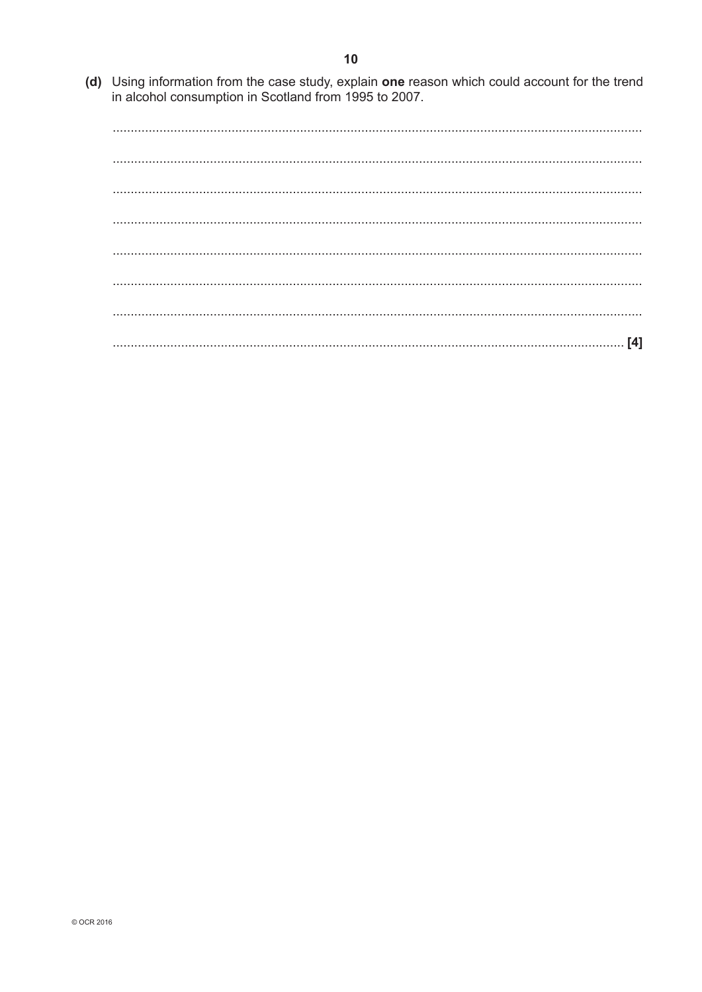(d) Using information from the case study, explain one reason which could account for the trend in alcohol consumption in Scotland from 1995 to 2007.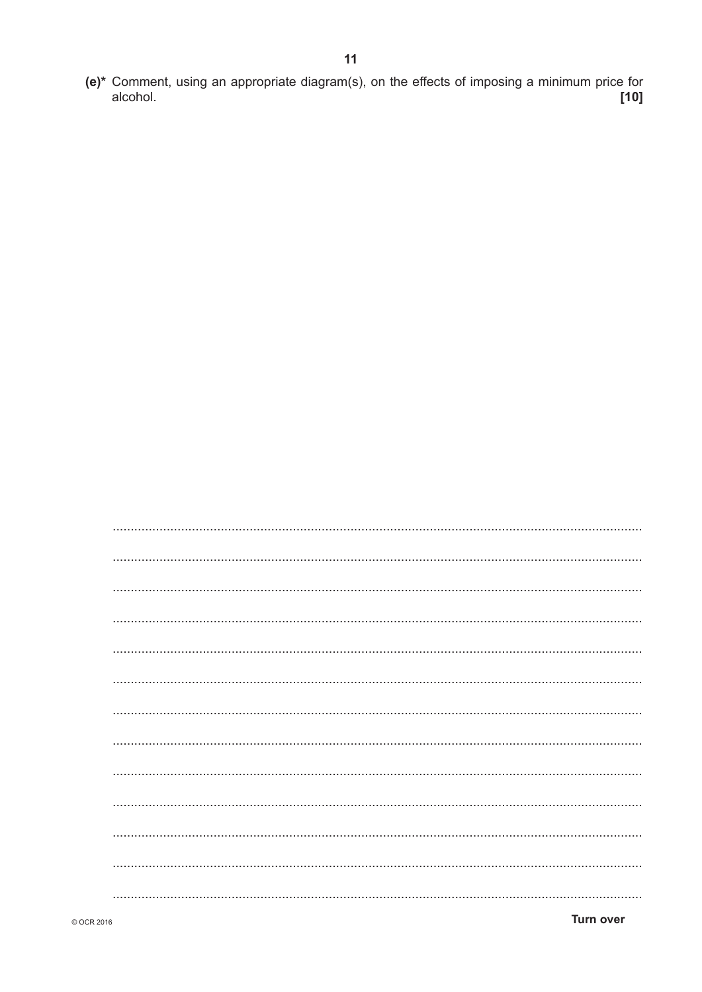(e)\* Comment, using an appropriate diagram(s), on the effects of imposing a minimum price for  $[10]$ alcohol.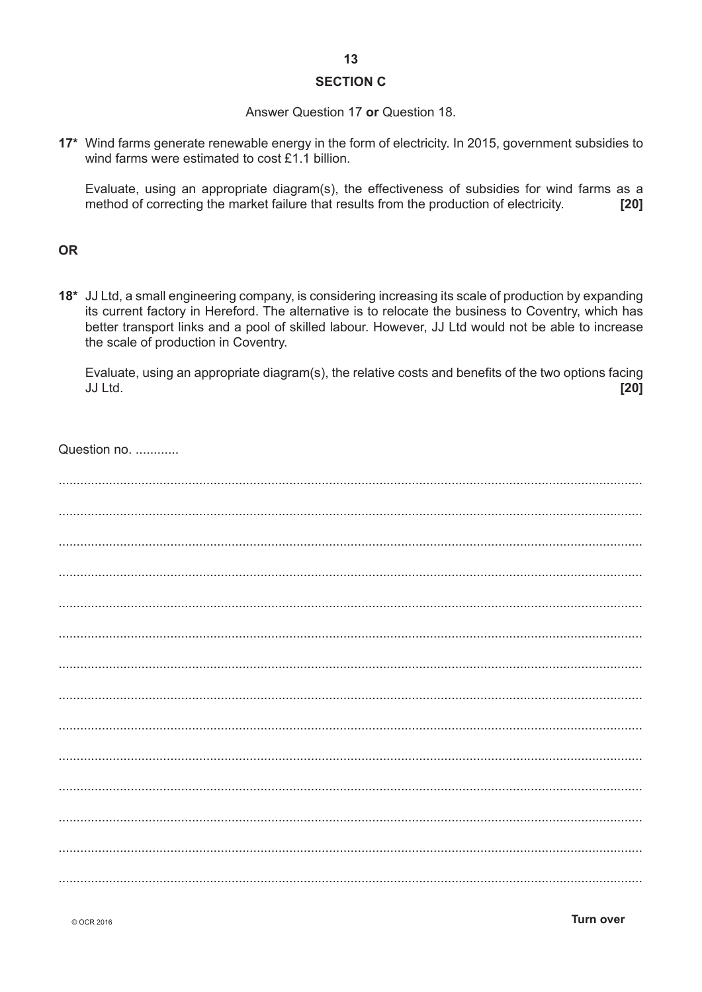#### **SECTION C**

#### Answer Question 17 or Question 18.

17\* Wind farms generate renewable energy in the form of electricity. In 2015, government subsidies to wind farms were estimated to cost  $£1.1$  billion.

Evaluate, using an appropriate diagram(s), the effectiveness of subsidies for wind farms as a method of correcting the market failure that results from the production of electricity. [20]

#### **OR**

18\* JJ Ltd, a small engineering company, is considering increasing its scale of production by expanding its current factory in Hereford. The alternative is to relocate the business to Coventry, which has better transport links and a pool of skilled labour. However, JJ Ltd would not be able to increase the scale of production in Coventry.

Evaluate, using an appropriate diagram(s), the relative costs and benefits of the two options facing JJ Ltd.  $[20]$ 

| Question no. |
|--------------|
|              |
|              |
|              |
|              |
|              |
|              |
|              |
|              |
|              |
|              |
|              |
|              |
|              |
|              |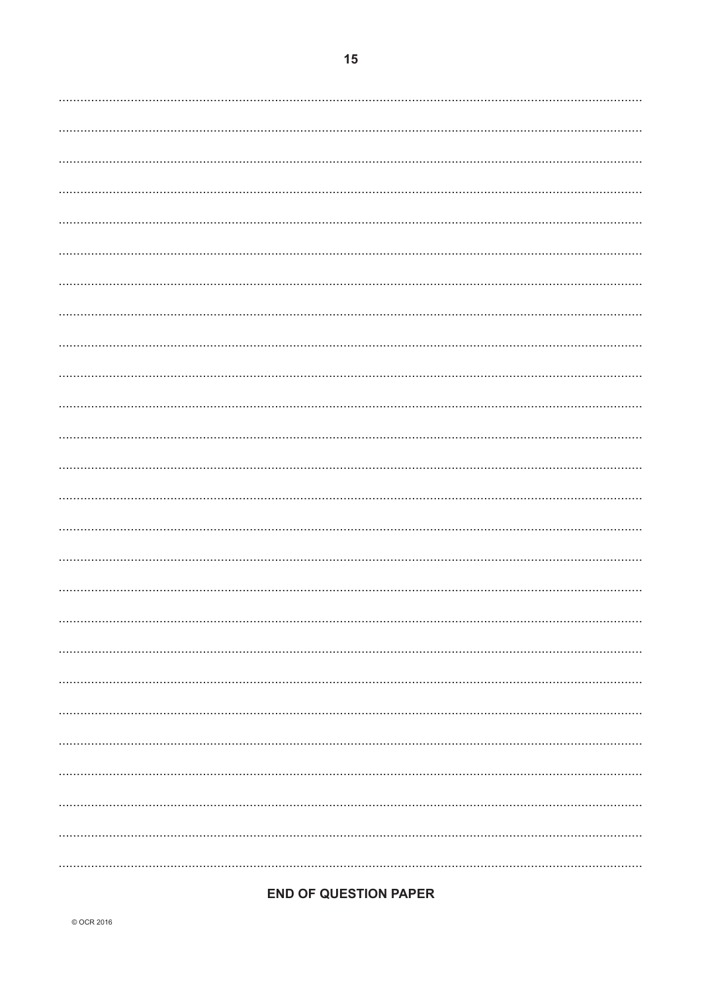### **END OF QUESTION PAPER**